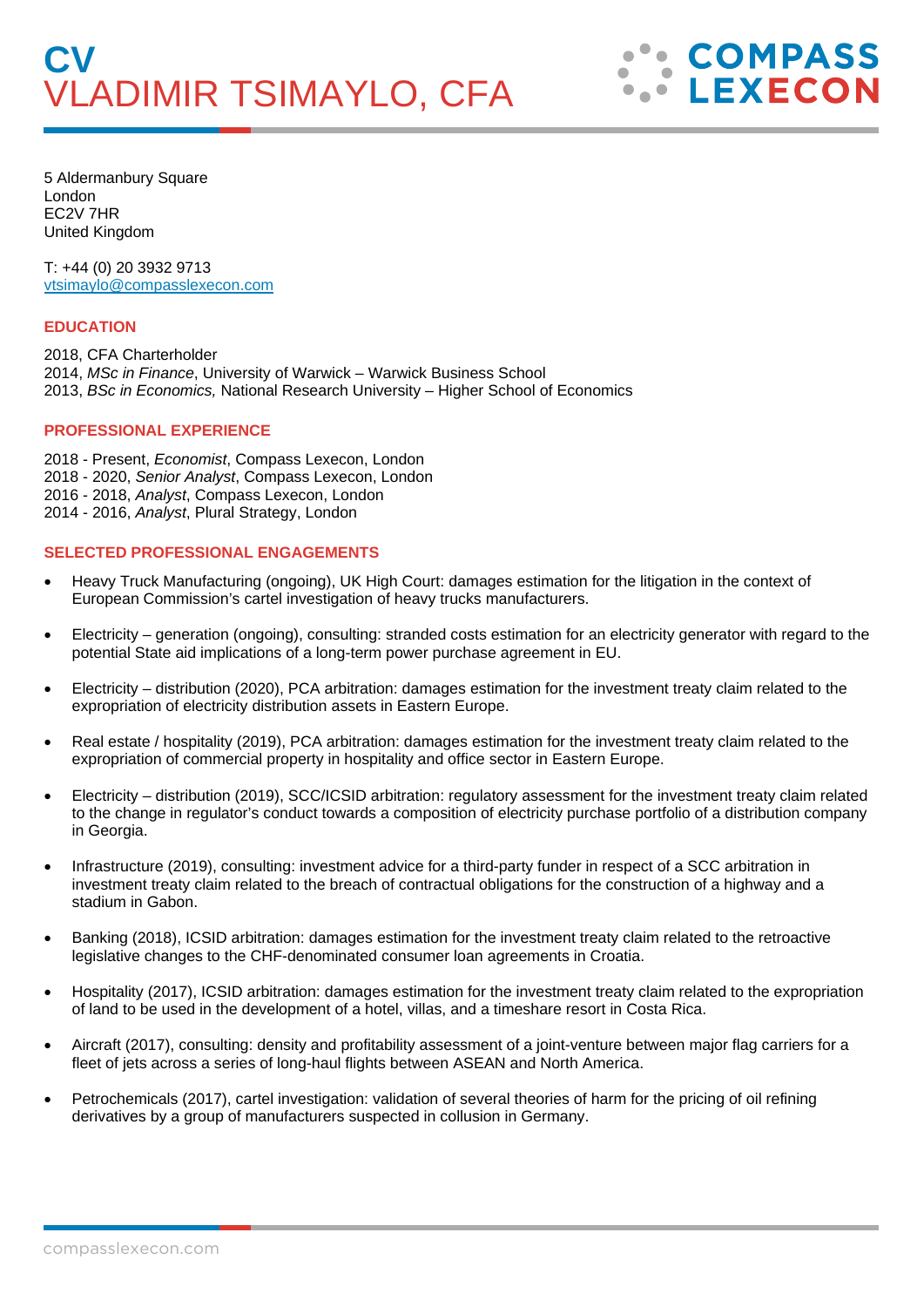5 Aldermanbury Square London EC2V 7HR United Kingdom

T: +44 (0) 20 3932 9713 vtsimaylo@compasslexecon.com

## **EDUCATION**

2018, CFA Charterholder 2014, *MSc in Finance*, University of Warwick – Warwick Business School 2013, *BSc in Economics,* National Research University – Higher School of Economics

## **PROFESSIONAL EXPERIENCE**

2018 - Present, *Economist*, Compass Lexecon, London 2018 - 2020, *Senior Analyst*, Compass Lexecon, London 2016 - 2018, *Analyst*, Compass Lexecon, London 2014 - 2016, *Analyst*, Plural Strategy, London

## **SELECTED PROFESSIONAL ENGAGEMENTS**

- Heavy Truck Manufacturing (ongoing), UK High Court: damages estimation for the litigation in the context of European Commission's cartel investigation of heavy trucks manufacturers.
- Electricity generation (ongoing), consulting: stranded costs estimation for an electricity generator with regard to the potential State aid implications of a long-term power purchase agreement in EU.
- Electricity distribution (2020), PCA arbitration: damages estimation for the investment treaty claim related to the expropriation of electricity distribution assets in Eastern Europe.
- Real estate / hospitality (2019), PCA arbitration: damages estimation for the investment treaty claim related to the expropriation of commercial property in hospitality and office sector in Eastern Europe.
- Electricity distribution (2019), SCC/ICSID arbitration: regulatory assessment for the investment treaty claim related to the change in regulator's conduct towards a composition of electricity purchase portfolio of a distribution company in Georgia.
- Infrastructure (2019), consulting: investment advice for a third-party funder in respect of a SCC arbitration in investment treaty claim related to the breach of contractual obligations for the construction of a highway and a stadium in Gabon.
- Banking (2018), ICSID arbitration: damages estimation for the investment treaty claim related to the retroactive legislative changes to the CHF-denominated consumer loan agreements in Croatia.
- Hospitality (2017), ICSID arbitration: damages estimation for the investment treaty claim related to the expropriation of land to be used in the development of a hotel, villas, and a timeshare resort in Costa Rica.
- Aircraft (2017), consulting: density and profitability assessment of a joint-venture between major flag carriers for a fleet of jets across a series of long-haul flights between ASEAN and North America.
- Petrochemicals (2017), cartel investigation: validation of several theories of harm for the pricing of oil refining derivatives by a group of manufacturers suspected in collusion in Germany.